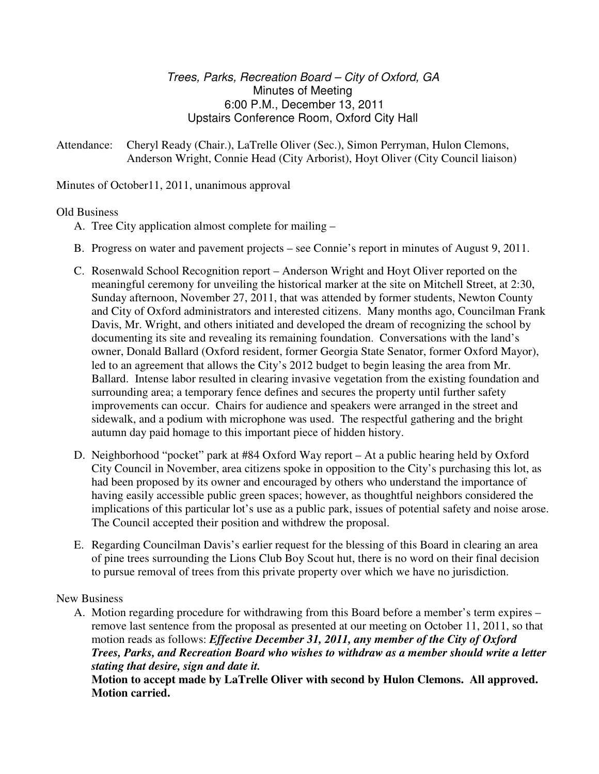# Trees, Parks, Recreation Board – City of Oxford, GA Minutes of Meeting 6:00 P.M., December 13, 2011 Upstairs Conference Room, Oxford City Hall

Attendance: Cheryl Ready (Chair.), LaTrelle Oliver (Sec.), Simon Perryman, Hulon Clemons, Anderson Wright, Connie Head (City Arborist), Hoyt Oliver (City Council liaison)

Minutes of October11, 2011, unanimous approval

## Old Business

- A. Tree City application almost complete for mailing –
- B. Progress on water and pavement projects see Connie's report in minutes of August 9, 2011.
- C. Rosenwald School Recognition report Anderson Wright and Hoyt Oliver reported on the meaningful ceremony for unveiling the historical marker at the site on Mitchell Street, at 2:30, Sunday afternoon, November 27, 2011, that was attended by former students, Newton County and City of Oxford administrators and interested citizens. Many months ago, Councilman Frank Davis, Mr. Wright, and others initiated and developed the dream of recognizing the school by documenting its site and revealing its remaining foundation. Conversations with the land's owner, Donald Ballard (Oxford resident, former Georgia State Senator, former Oxford Mayor), led to an agreement that allows the City's 2012 budget to begin leasing the area from Mr. Ballard. Intense labor resulted in clearing invasive vegetation from the existing foundation and surrounding area; a temporary fence defines and secures the property until further safety improvements can occur. Chairs for audience and speakers were arranged in the street and sidewalk, and a podium with microphone was used. The respectful gathering and the bright autumn day paid homage to this important piece of hidden history.
- D. Neighborhood "pocket" park at #84 Oxford Way report At a public hearing held by Oxford City Council in November, area citizens spoke in opposition to the City's purchasing this lot, as had been proposed by its owner and encouraged by others who understand the importance of having easily accessible public green spaces; however, as thoughtful neighbors considered the implications of this particular lot's use as a public park, issues of potential safety and noise arose. The Council accepted their position and withdrew the proposal.
- E. Regarding Councilman Davis's earlier request for the blessing of this Board in clearing an area of pine trees surrounding the Lions Club Boy Scout hut, there is no word on their final decision to pursue removal of trees from this private property over which we have no jurisdiction.

### New Business

A. Motion regarding procedure for withdrawing from this Board before a member's term expires – remove last sentence from the proposal as presented at our meeting on October 11, 2011, so that motion reads as follows: *Effective December 31, 2011, any member of the City of Oxford Trees, Parks, and Recreation Board who wishes to withdraw as a member should write a letter stating that desire, sign and date it.* 

 **Motion to accept made by LaTrelle Oliver with second by Hulon Clemons. All approved. Motion carried.**